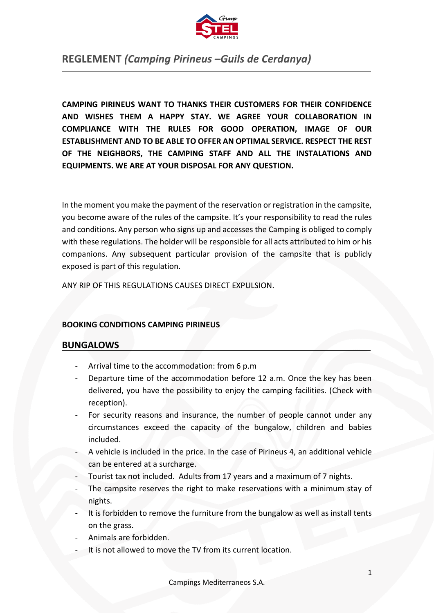

# **REGLEMENT** *(Camping Pirineus –Guils de Cerdanya)*

**CAMPING PIRINEUS WANT TO THANKS THEIR CUSTOMERS FOR THEIR CONFIDENCE AND WISHES THEM A HAPPY STAY. WE AGREE YOUR COLLABORATION IN COMPLIANCE WITH THE RULES FOR GOOD OPERATION, IMAGE OF OUR ESTABLISHMENT AND TO BE ABLE TO OFFER AN OPTIMAL SERVICE. RESPECT THE REST OF THE NEIGHBORS, THE CAMPING STAFF AND ALL THE INSTALATIONS AND EQUIPMENTS. WE ARE AT YOUR DISPOSAL FOR ANY QUESTION.**

In the moment you make the payment of the reservation or registration in the campsite, you become aware of the rules of the campsite. It's your responsibility to read the rules and conditions. Any person who signs up and accesses the Camping is obliged to comply with these regulations. The holder will be responsible for all acts attributed to him or his companions. Any subsequent particular provision of the campsite that is publicly exposed is part of this regulation.

ANY RIP OF THIS REGULATIONS CAUSES DIRECT EXPULSION.

## **BOOKING CONDITIONS CAMPING PIRINEUS**

## **BUNGALOWS**

- Arrival time to the accommodation: from 6 p.m
- Departure time of the accommodation before 12 a.m. Once the key has been delivered, you have the possibility to enjoy the camping facilities. (Check with reception).
- For security reasons and insurance, the number of people cannot under any circumstances exceed the capacity of the bungalow, children and babies included.
- A vehicle is included in the price. In the case of Pirineus 4, an additional vehicle can be entered at a surcharge.
- Tourist tax not included. Adults from 17 years and a maximum of 7 nights.
- The campsite reserves the right to make reservations with a minimum stay of nights.
- It is forbidden to remove the furniture from the bungalow as well as install tents on the grass.
- Animals are forbidden.
- It is not allowed to move the TV from its current location.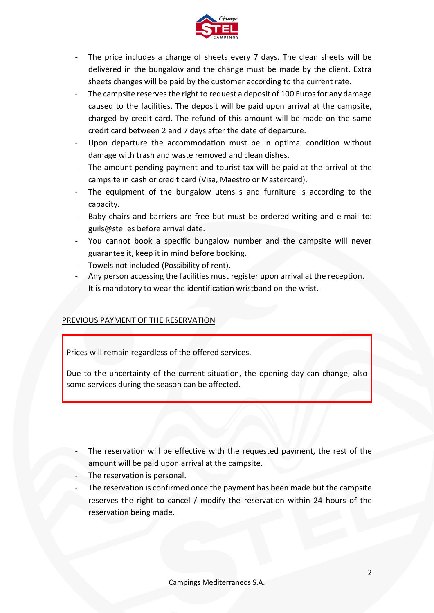

- The price includes a change of sheets every 7 days. The clean sheets will be delivered in the bungalow and the change must be made by the client. Extra sheets changes will be paid by the customer according to the current rate.
- The campsite reserves the right to request a deposit of 100 Euros for any damage caused to the facilities. The deposit will be paid upon arrival at the campsite, charged by credit card. The refund of this amount will be made on the same credit card between 2 and 7 days after the date of departure.
- Upon departure the accommodation must be in optimal condition without damage with trash and waste removed and clean dishes.
- The amount pending payment and tourist tax will be paid at the arrival at the campsite in cash or credit card (Visa, Maestro or Mastercard).
- The equipment of the bungalow utensils and furniture is according to the capacity.
- Baby chairs and barriers are free but must be ordered writing and e-mail to: guils@stel.es before arrival date.
- You cannot book a specific bungalow number and the campsite will never guarantee it, keep it in mind before booking.
- Towels not included (Possibility of rent).
- Any person accessing the facilities must register upon arrival at the reception.
- It is mandatory to wear the identification wristband on the wrist.

## PREVIOUS PAYMENT OF THE RESERVATION

Prices will remain regardless of the offered services.

Due to the uncertainty of the current situation, the opening day can change, also some services during the season can be affected.

- The reservation will be effective with the requested payment, the rest of the amount will be paid upon arrival at the campsite.
- The reservation is personal.
- The reservation is confirmed once the payment has been made but the campsite reserves the right to cancel / modify the reservation within 24 hours of the reservation being made.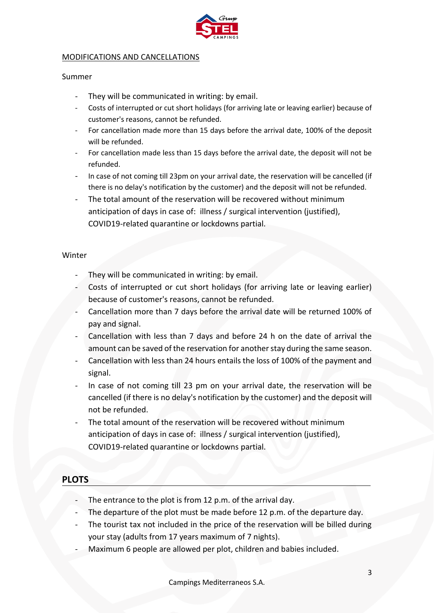

## MODIFICATIONS AND CANCELLATIONS

## Summer

- They will be communicated in writing: by email.
- Costs of interrupted or cut short holidays (for arriving late or leaving earlier) because of customer's reasons, cannot be refunded.
- For cancellation made more than 15 days before the arrival date, 100% of the deposit will be refunded.
- For cancellation made less than 15 days before the arrival date, the deposit will not be refunded.
- In case of not coming till 23pm on your arrival date, the reservation will be cancelled (if there is no delay's notification by the customer) and the deposit will not be refunded.
- The total amount of the reservation will be recovered without minimum anticipation of days in case of: illness / surgical intervention (justified). COVID19-related quarantine or lockdowns partial.

#### Winter

- They will be communicated in writing: by email.
- Costs of interrupted or cut short holidays (for arriving late or leaving earlier) because of customer's reasons, cannot be refunded.
- Cancellation more than 7 days before the arrival date will be returned 100% of pay and signal.
- Cancellation with less than 7 days and before 24 h on the date of arrival the amount can be saved of the reservation for another stay during the same season.
- Cancellation with less than 24 hours entails the loss of 100% of the payment and signal.
- In case of not coming till 23 pm on your arrival date, the reservation will be cancelled (if there is no delay's notification by the customer) and the deposit will not be refunded.
- The total amount of the reservation will be recovered without minimum anticipation of days in case of: illness / surgical intervention (justified), COVID19-related quarantine or lockdowns partial.

## **PLOTS**

- The entrance to the plot is from 12 p.m. of the arrival day.
- The departure of the plot must be made before 12 p.m. of the departure day.
- The tourist tax not included in the price of the reservation will be billed during your stay (adults from 17 years maximum of 7 nights).
- Maximum 6 people are allowed per plot, children and babies included.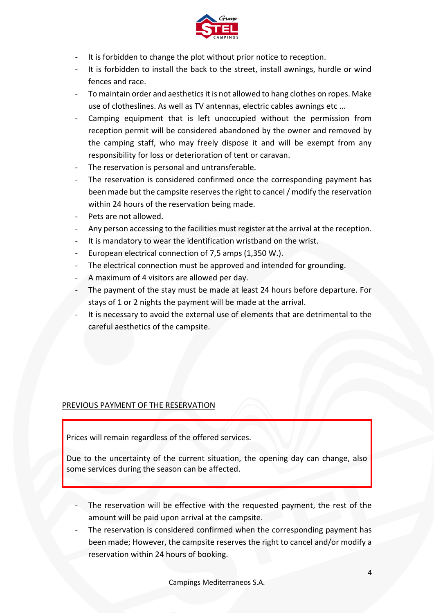

- It is forbidden to change the plot without prior notice to reception.
- It is forbidden to install the back to the street, install awnings, hurdle or wind fences and race.
- To maintain order and aesthetics it is not allowed to hang clothes on ropes. Make use of clotheslines. As well as TV antennas, electric cables awnings etc ...
- Camping equipment that is left unoccupied without the permission from reception permit will be considered abandoned by the owner and removed by the camping staff, who may freely dispose it and will be exempt from any responsibility for loss or deterioration of tent or caravan.
- The reservation is personal and untransferable.
- The reservation is considered confirmed once the corresponding payment has been made but the campsite reserves the right to cancel / modify the reservation within 24 hours of the reservation being made.
- Pets are not allowed.
- Any person accessing to the facilities must register at the arrival at the reception.
- It is mandatory to wear the identification wristband on the wrist.
- European electrical connection of 7,5 amps (1,350 W.).
- The electrical connection must be approved and intended for grounding.
- A maximum of 4 visitors are allowed per day.
- The payment of the stay must be made at least 24 hours before departure. For stays of 1 or 2 nights the payment will be made at the arrival.
- It is necessary to avoid the external use of elements that are detrimental to the careful aesthetics of the campsite.

## PREVIOUS PAYMENT OF THE RESERVATION

Prices will remain regardless of the offered services.

Due to the uncertainty of the current situation, the opening day can change, also some services during the season can be affected.

- The reservation will be effective with the requested payment, the rest of the amount will be paid upon arrival at the campsite.
- The reservation is considered confirmed when the corresponding payment has been made; However, the campsite reserves the right to cancel and/or modify a reservation within 24 hours of booking.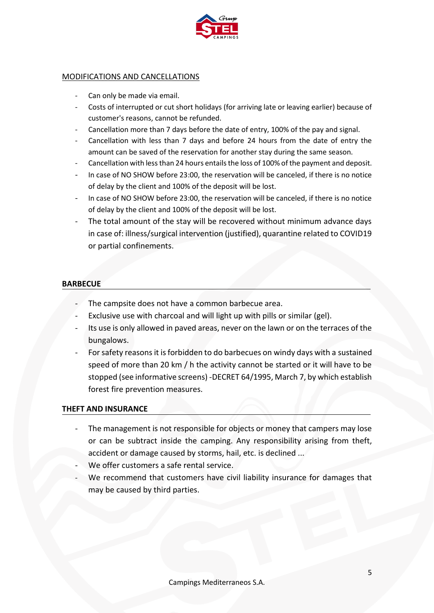

### MODIFICATIONS AND CANCELLATIONS

- Can only be made via email.
- Costs of interrupted or cut short holidays (for arriving late or leaving earlier) because of customer's reasons, cannot be refunded.
- Cancellation more than 7 days before the date of entry, 100% of the pay and signal.
- Cancellation with less than 7 days and before 24 hours from the date of entry the amount can be saved of the reservation for another stay during the same season.
- Cancellation with less than 24 hours entails the loss of 100% of the payment and deposit.
- In case of NO SHOW before 23:00, the reservation will be canceled, if there is no notice of delay by the client and 100% of the deposit will be lost.
- In case of NO SHOW before 23:00, the reservation will be canceled, if there is no notice of delay by the client and 100% of the deposit will be lost.
- The total amount of the stay will be recovered without minimum advance days in case of: illness/surgical intervention (justified), quarantine related to COVID19 or partial confinements.

#### **BARBECUE**

- The campsite does not have a common barbecue area.
- Exclusive use with charcoal and will light up with pills or similar (gel).
- Its use is only allowed in paved areas, never on the lawn or on the terraces of the bungalows.
- For safety reasons it is forbidden to do barbecues on windy days with a sustained speed of more than 20 km / h the activity cannot be started or it will have to be stopped (see informative screens) -DECRET 64/1995, March 7, by which establish forest fire prevention measures.

#### **THEFT AND INSURANCE**

- The management is not responsible for objects or money that campers may lose or can be subtract inside the camping. Any responsibility arising from theft, accident or damage caused by storms, hail, etc. is declined ...
- We offer customers a safe rental service.
- We recommend that customers have civil liability insurance for damages that may be caused by third parties.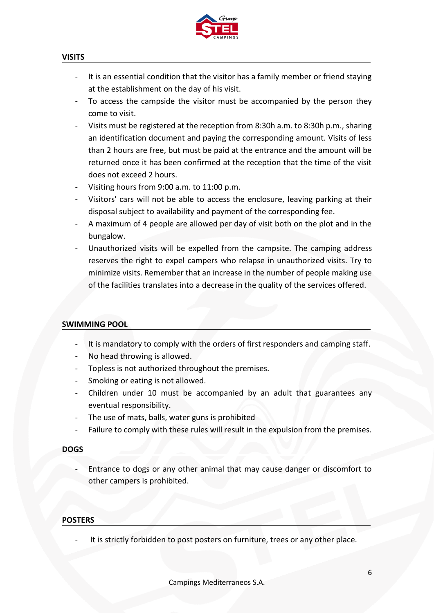

#### **VISITS**

- It is an essential condition that the visitor has a family member or friend staying at the establishment on the day of his visit.
- To access the campside the visitor must be accompanied by the person they come to visit.
- Visits must be registered at the reception from 8:30h a.m. to 8:30h p.m., sharing an identification document and paying the corresponding amount. Visits of less than 2 hours are free, but must be paid at the entrance and the amount will be returned once it has been confirmed at the reception that the time of the visit does not exceed 2 hours.
- Visiting hours from 9:00 a.m. to 11:00 p.m.
- Visitors' cars will not be able to access the enclosure, leaving parking at their disposal subject to availability and payment of the corresponding fee.
- A maximum of 4 people are allowed per day of visit both on the plot and in the bungalow.
- Unauthorized visits will be expelled from the campsite. The camping address reserves the right to expel campers who relapse in unauthorized visits. Try to minimize visits. Remember that an increase in the number of people making use of the facilities translates into a decrease in the quality of the services offered.

## **SWIMMING POOL**

- It is mandatory to comply with the orders of first responders and camping staff.
- No head throwing is allowed.
- Topless is not authorized throughout the premises.
- Smoking or eating is not allowed.
- Children under 10 must be accompanied by an adult that guarantees any eventual responsibility.
- The use of mats, balls, water guns is prohibited
- Failure to comply with these rules will result in the expulsion from the premises.

#### **DOGS**

Entrance to dogs or any other animal that may cause danger or discomfort to other campers is prohibited.

#### **POSTERS**

It is strictly forbidden to post posters on furniture, trees or any other place.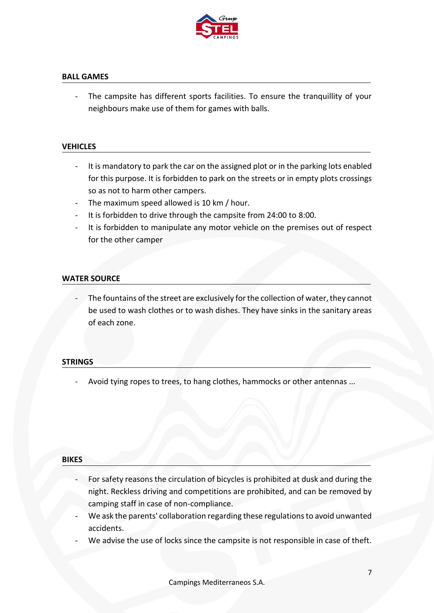

### **BALL GAMES**

The campsite has different sports facilities. To ensure the tranquillity of your neighbours make use of them for games with balls.

#### **VEHICLES**

- It is mandatory to park the car on the assigned plot or in the parking lots enabled for this purpose. It is forbidden to park on the streets or in empty plots crossings so as not to harm other campers.
- The maximum speed allowed is 10 km / hour.
- It is forbidden to drive through the campsite from 24:00 to 8:00.
- It is forbidden to manipulate any motor vehicle on the premises out of respect for the other camper

#### **WATER SOURCE**

The fountains of the street are exclusively for the collection of water, they cannot be used to wash clothes or to wash dishes. They have sinks in the sanitary areas of each zone.

#### **STRINGS**

Avoid tying ropes to trees, to hang clothes, hammocks or other antennas ...

#### **BIKES**

- For safety reasons the circulation of bicycles is prohibited at dusk and during the night. Reckless driving and competitions are prohibited, and can be removed by camping staff in case of non-compliance.
- We ask the parents' collaboration regarding these regulations to avoid unwanted accidents.
- We advise the use of locks since the campsite is not responsible in case of theft.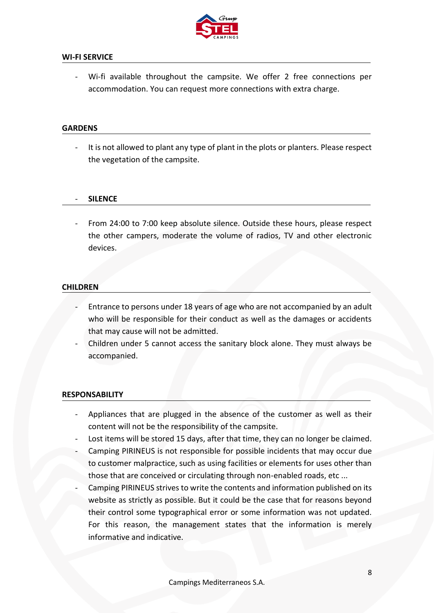

#### **WI-FI SERVICE**

Wi-fi available throughout the campsite. We offer 2 free connections per accommodation. You can request more connections with extra charge.

#### **GARDENS**

It is not allowed to plant any type of plant in the plots or planters. Please respect the vegetation of the campsite.

#### - **SILENCE**

- From 24:00 to 7:00 keep absolute silence. Outside these hours, please respect the other campers, moderate the volume of radios, TV and other electronic devices.

#### **CHILDREN**

- Entrance to persons under 18 years of age who are not accompanied by an adult who will be responsible for their conduct as well as the damages or accidents that may cause will not be admitted.
- Children under 5 cannot access the sanitary block alone. They must always be accompanied.

#### **RESPONSABILITY**

- Appliances that are plugged in the absence of the customer as well as their content will not be the responsibility of the campsite.
- Lost items will be stored 15 days, after that time, they can no longer be claimed.
- Camping PIRINEUS is not responsible for possible incidents that may occur due to customer malpractice, such as using facilities or elements for uses other than those that are conceived or circulating through non-enabled roads, etc ...
- Camping PIRINEUS strives to write the contents and information published on its website as strictly as possible. But it could be the case that for reasons beyond their control some typographical error or some information was not updated. For this reason, the management states that the information is merely informative and indicative.